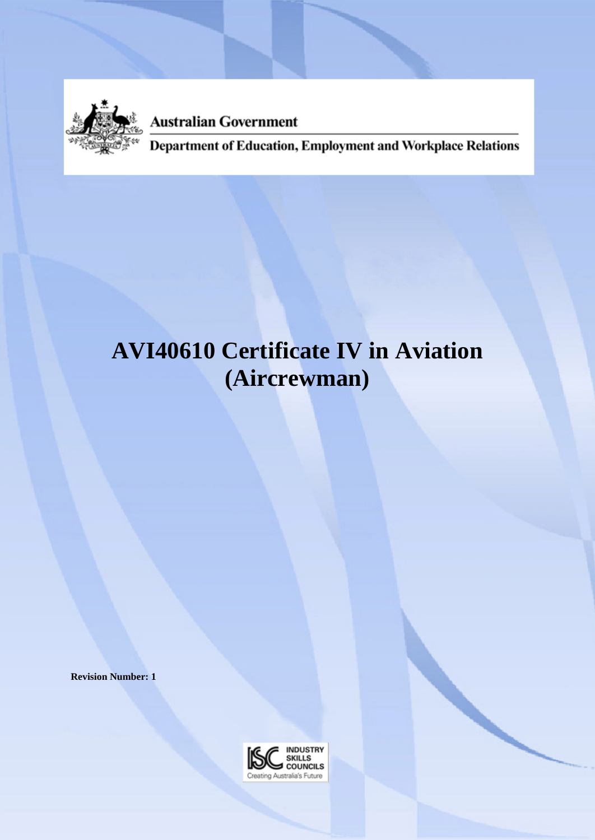

**Australian Government** 

Department of Education, Employment and Workplace Relations

# **AVI40610 Certificate IV in Aviation (Aircrewman)**

**Revision Number: 1**

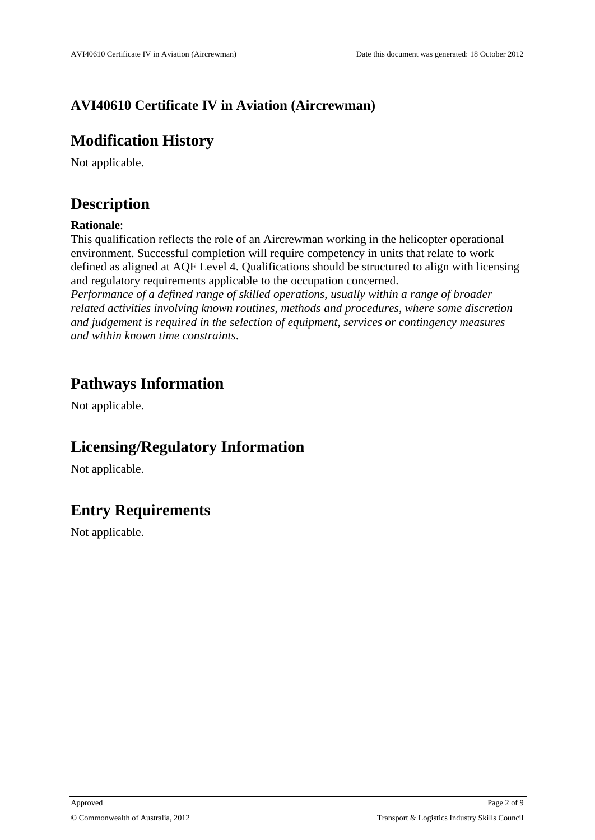## **AVI40610 Certificate IV in Aviation (Aircrewman)**

# **Modification History**

Not applicable.

# **Description**

### **Rationale**:

This qualification reflects the role of an Aircrewman working in the helicopter operational environment. Successful completion will require competency in units that relate to work defined as aligned at AQF Level 4. Qualifications should be structured to align with licensing and regulatory requirements applicable to the occupation concerned.

*Performance of a defined range of skilled operations*, *usually within a range of broader related activities involving known routines*, *methods and procedures*, *where some discretion and judgement is required in the selection of equipment*, *services or contingency measures and within known time constraints*.

# **Pathways Information**

Not applicable.

# **Licensing/Regulatory Information**

Not applicable.

# **Entry Requirements**

Not applicable.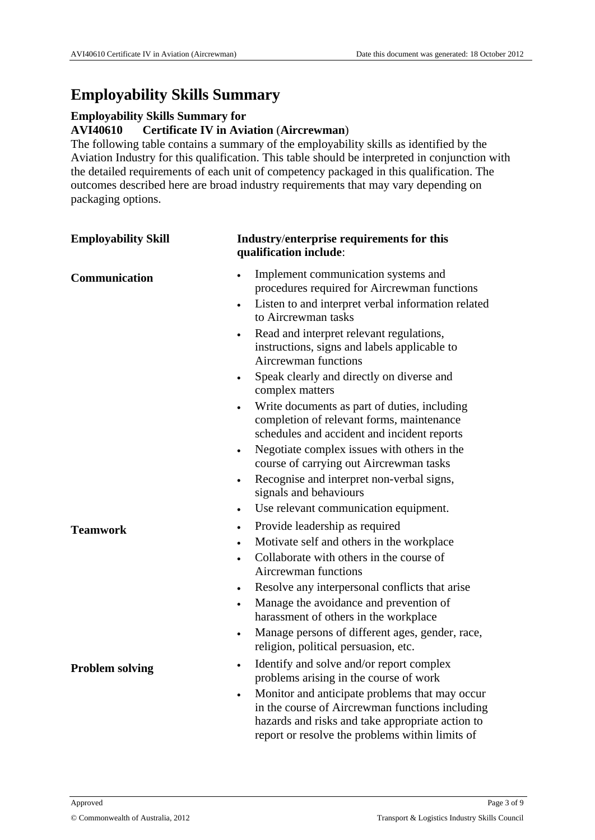# **Employability Skills Summary**

#### **Employability Skills Summary for**

#### **AVI40610 Certificate IV in Aviation** (**Aircrewman**)

The following table contains a summary of the employability skills as identified by the Aviation Industry for this qualification. This table should be interpreted in conjunction with the detailed requirements of each unit of competency packaged in this qualification. The outcomes described here are broad industry requirements that may vary depending on packaging options.

| <b>Employability Skill</b> | Industry/enterprise requirements for this<br>qualification include:                                                                                                                                                                                                                                                                                                                                                                              |  |
|----------------------------|--------------------------------------------------------------------------------------------------------------------------------------------------------------------------------------------------------------------------------------------------------------------------------------------------------------------------------------------------------------------------------------------------------------------------------------------------|--|
| Communication              | Implement communication systems and<br>$\bullet$<br>procedures required for Aircrewman functions<br>Listen to and interpret verbal information related<br>٠<br>to Aircrewman tasks<br>Read and interpret relevant regulations,<br>instructions, signs and labels applicable to<br><b>Aircrewman functions</b><br>Speak clearly and directly on diverse and<br>٠<br>complex matters                                                               |  |
|                            | Write documents as part of duties, including<br>$\bullet$<br>completion of relevant forms, maintenance<br>schedules and accident and incident reports<br>Negotiate complex issues with others in the<br>$\bullet$<br>course of carrying out Aircrewman tasks<br>Recognise and interpret non-verbal signs,<br>$\bullet$<br>signals and behaviours<br>Use relevant communication equipment.<br>$\bullet$                                           |  |
| <b>Teamwork</b>            | Provide leadership as required<br>$\bullet$<br>Motivate self and others in the workplace<br>$\bullet$<br>Collaborate with others in the course of<br>$\bullet$<br>Aircrewman functions<br>Resolve any interpersonal conflicts that arise<br>$\bullet$<br>Manage the avoidance and prevention of<br>$\bullet$<br>harassment of others in the workplace<br>Manage persons of different ages, gender, race,<br>religion, political persuasion, etc. |  |
| <b>Problem solving</b>     | Identify and solve and/or report complex<br>problems arising in the course of work<br>Monitor and anticipate problems that may occur<br>in the course of Aircrewman functions including<br>hazards and risks and take appropriate action to<br>report or resolve the problems within limits of                                                                                                                                                   |  |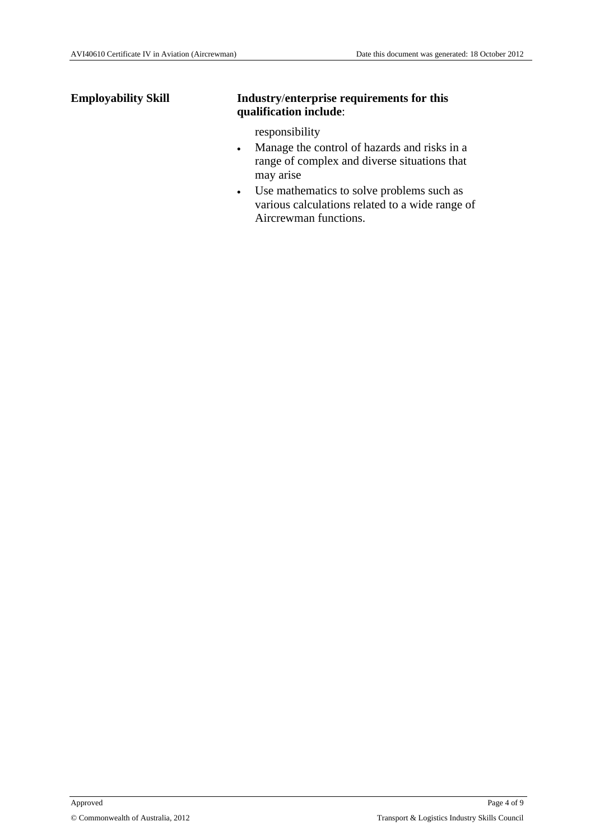#### **Employability Skill Industry**/**enterprise requirements for this qualification include**:

responsibility

- Manage the control of hazards and risks in a range of complex and diverse situations that may arise
- Use mathematics to solve problems such as various calculations related to a wide range of Aircrewman functions.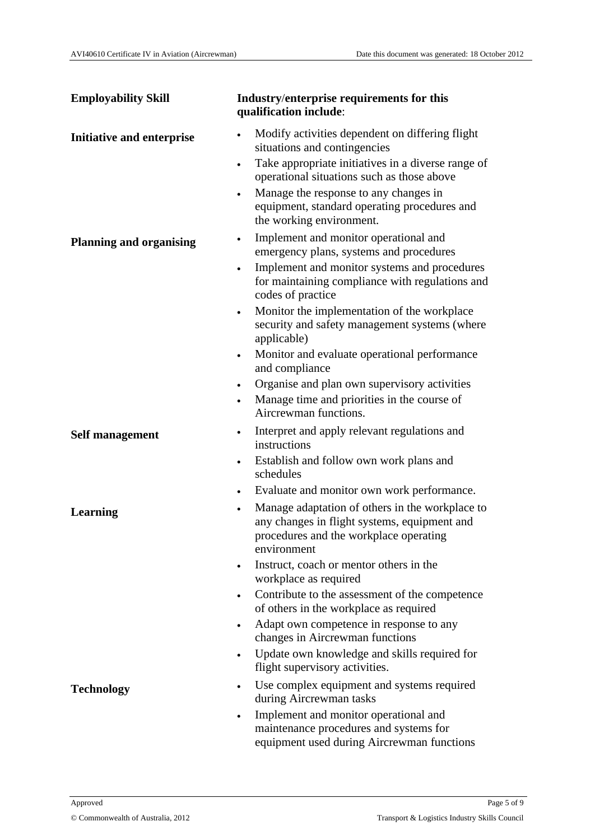| <b>Employability Skill</b>     | Industry/enterprise requirements for this<br>qualification include:                                                                                                                                                                |  |  |
|--------------------------------|------------------------------------------------------------------------------------------------------------------------------------------------------------------------------------------------------------------------------------|--|--|
| Initiative and enterprise      | Modify activities dependent on differing flight<br>$\bullet$<br>situations and contingencies                                                                                                                                       |  |  |
|                                | Take appropriate initiatives in a diverse range of<br>$\bullet$<br>operational situations such as those above<br>Manage the response to any changes in<br>equipment, standard operating procedures and<br>the working environment. |  |  |
| <b>Planning and organising</b> | Implement and monitor operational and<br>$\bullet$<br>emergency plans, systems and procedures                                                                                                                                      |  |  |
|                                | Implement and monitor systems and procedures<br>$\bullet$<br>for maintaining compliance with regulations and<br>codes of practice                                                                                                  |  |  |
|                                | Monitor the implementation of the workplace<br>$\bullet$<br>security and safety management systems (where<br>applicable)                                                                                                           |  |  |
|                                | Monitor and evaluate operational performance<br>$\bullet$<br>and compliance                                                                                                                                                        |  |  |
|                                | Organise and plan own supervisory activities<br>٠<br>Manage time and priorities in the course of<br>$\bullet$<br>Aircrewman functions.                                                                                             |  |  |
| <b>Self management</b>         | Interpret and apply relevant regulations and<br>٠<br>instructions                                                                                                                                                                  |  |  |
|                                | Establish and follow own work plans and<br>$\bullet$<br>schedules                                                                                                                                                                  |  |  |
|                                | Evaluate and monitor own work performance.<br>$\bullet$                                                                                                                                                                            |  |  |
| <b>Learning</b>                | Manage adaptation of others in the workplace to<br>$\bullet$<br>any changes in flight systems, equipment and<br>procedures and the workplace operating<br>environment                                                              |  |  |
|                                | Instruct, coach or mentor others in the<br>٠<br>workplace as required                                                                                                                                                              |  |  |
|                                | Contribute to the assessment of the competence<br>of others in the workplace as required                                                                                                                                           |  |  |
|                                | Adapt own competence in response to any<br>$\bullet$<br>changes in Aircrewman functions                                                                                                                                            |  |  |
|                                | Update own knowledge and skills required for<br>flight supervisory activities.                                                                                                                                                     |  |  |
| <b>Technology</b>              | Use complex equipment and systems required<br>$\bullet$<br>during Aircrewman tasks                                                                                                                                                 |  |  |
|                                | Implement and monitor operational and<br>$\bullet$<br>maintenance procedures and systems for<br>equipment used during Aircrewman functions                                                                                         |  |  |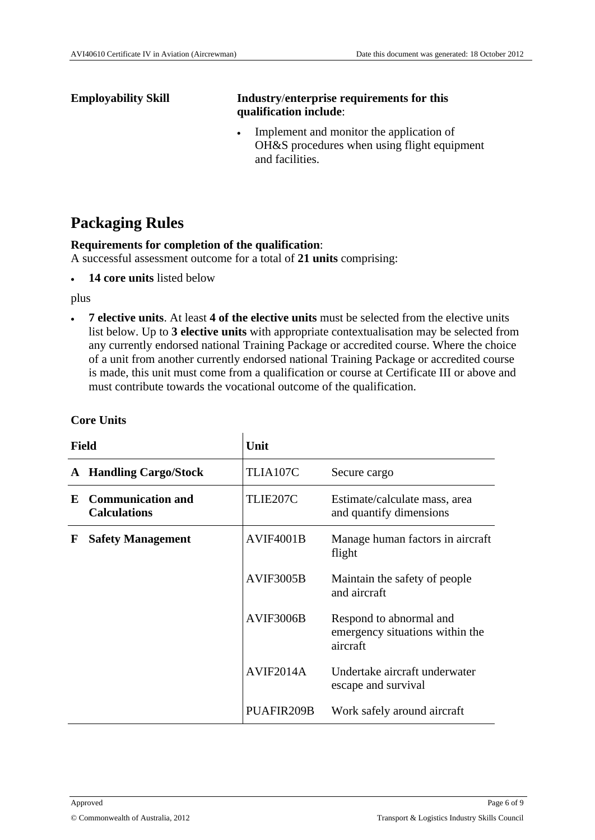### **Employability Skill Industry**/**enterprise requirements for this qualification include**:

• Implement and monitor the application of OH&S procedures when using flight equipment and facilities.

# **Packaging Rules**

#### **Requirements for completion of the qualification**:

A successful assessment outcome for a total of **21 units** comprising:

**14 core units** listed below

plus

 **7 elective units**. At least **4 of the elective units** must be selected from the elective units list below. Up to **3 elective units** with appropriate contextualisation may be selected from any currently endorsed national Training Package or accredited course. Where the choice of a unit from another currently endorsed national Training Package or accredited course is made, this unit must come from a qualification or course at Certificate III or above and must contribute towards the vocational outcome of the qualification.

| <b>Field</b> |                                                 | Unit             |                                                                        |
|--------------|-------------------------------------------------|------------------|------------------------------------------------------------------------|
| A            | <b>Handling Cargo/Stock</b>                     | TLIA107C         | Secure cargo                                                           |
| E            | <b>Communication and</b><br><b>Calculations</b> | TLIE207C         | Estimate/calculate mass, area<br>and quantify dimensions               |
| F            | <b>Safety Management</b>                        | <b>AVIF4001B</b> | Manage human factors in aircraft<br>flight                             |
|              |                                                 | <b>AVIF3005B</b> | Maintain the safety of people.<br>and aircraft                         |
|              |                                                 | AVIF3006B        | Respond to abnormal and<br>emergency situations within the<br>aircraft |
|              |                                                 | AVIF2014A        | Undertake aircraft underwater<br>escape and survival                   |
|              |                                                 | PUAFIR209B       | Work safely around aircraft                                            |

#### **Core Units**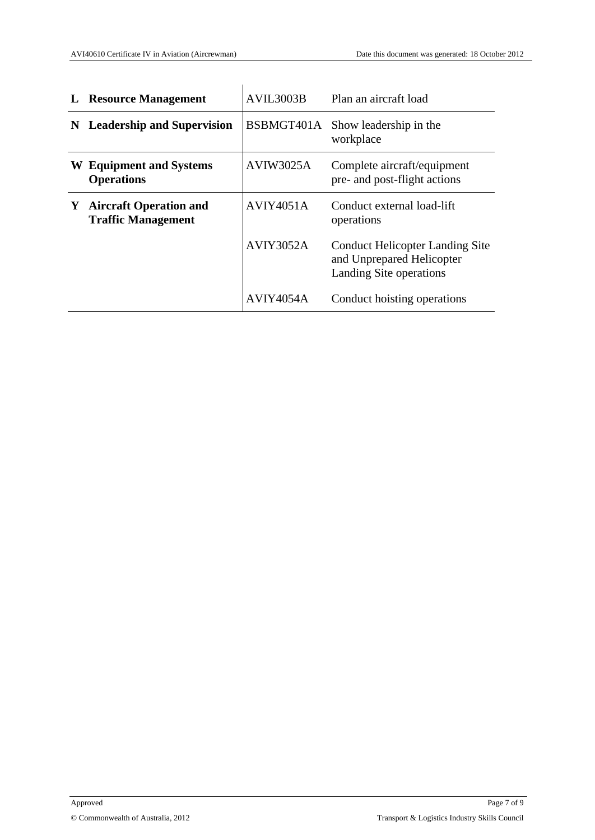| L | <b>Resource Management</b>                                 | AVIL3003B        | Plan an aircraft load                                                                          |
|---|------------------------------------------------------------|------------------|------------------------------------------------------------------------------------------------|
| N | <b>Leadership and Supervision</b>                          |                  | BSBMGT401A Show leadership in the<br>workplace                                                 |
|   | <b>W</b> Equipment and Systems<br><b>Operations</b>        | <b>AVIW3025A</b> | Complete aircraft/equipment<br>pre- and post-flight actions                                    |
| Y | <b>Aircraft Operation and</b><br><b>Traffic Management</b> | AVIY4051A        | Conduct external load-lift<br>operations                                                       |
|   |                                                            | <b>AVIY3052A</b> | <b>Conduct Helicopter Landing Site</b><br>and Unprepared Helicopter<br>Landing Site operations |
|   |                                                            | AVIY4054A        | Conduct hoisting operations                                                                    |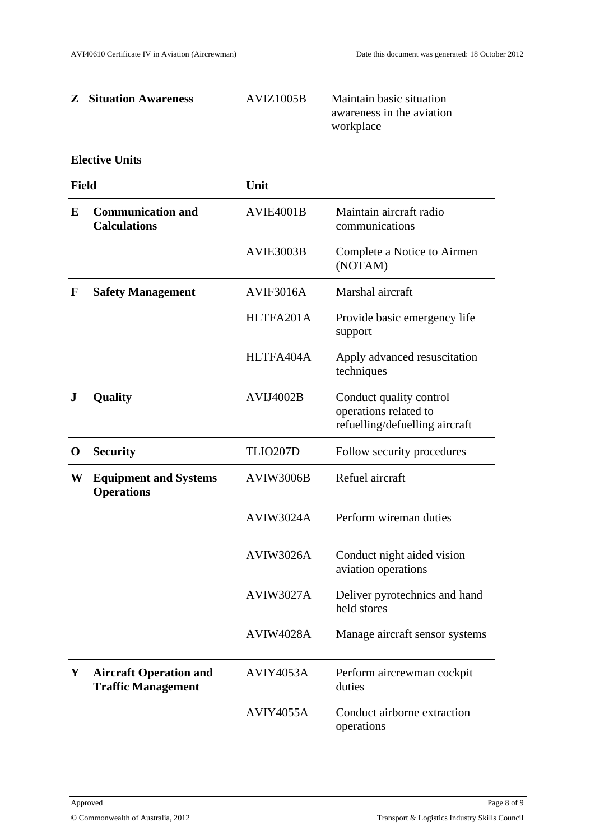| <b>Z</b> Situation Awareness | AVIZ1005B | Maintain basic situation<br>awareness in the aviation<br>workplace |
|------------------------------|-----------|--------------------------------------------------------------------|
|                              |           |                                                                    |

#### **Elective Units**

| <b>Field</b> |                                                            | Unit             |                                                                                    |
|--------------|------------------------------------------------------------|------------------|------------------------------------------------------------------------------------|
| E            | <b>Communication and</b><br><b>Calculations</b>            | AVIE4001B        | Maintain aircraft radio<br>communications                                          |
|              |                                                            | AVIE3003B        | Complete a Notice to Airmen<br>(NOTAM)                                             |
| $\mathbf F$  | <b>Safety Management</b>                                   | AVIF3016A        | Marshal aircraft                                                                   |
|              |                                                            | HLTFA201A        | Provide basic emergency life<br>support                                            |
|              |                                                            | HLTFA404A        | Apply advanced resuscitation<br>techniques                                         |
| ${\bf J}$    | Quality                                                    | AVIJ4002B        | Conduct quality control<br>operations related to<br>refuelling/defuelling aircraft |
| $\mathbf 0$  | <b>Security</b>                                            | TLIO207D         | Follow security procedures                                                         |
| W            | <b>Equipment and Systems</b><br><b>Operations</b>          | AVIW3006B        | Refuel aircraft                                                                    |
|              |                                                            | <b>AVIW3024A</b> | Perform wireman duties                                                             |
|              |                                                            | AVIW3026A        | Conduct night aided vision<br>aviation operations                                  |
|              |                                                            | <b>AVIW3027A</b> | Deliver pyrotechnics and hand<br>held stores                                       |
|              |                                                            | <b>AVIW4028A</b> | Manage aircraft sensor systems                                                     |
| Y            | <b>Aircraft Operation and</b><br><b>Traffic Management</b> | AVIY4053A        | Perform aircrewman cockpit<br>duties                                               |
|              |                                                            | <b>AVIY4055A</b> | Conduct airborne extraction<br>operations                                          |